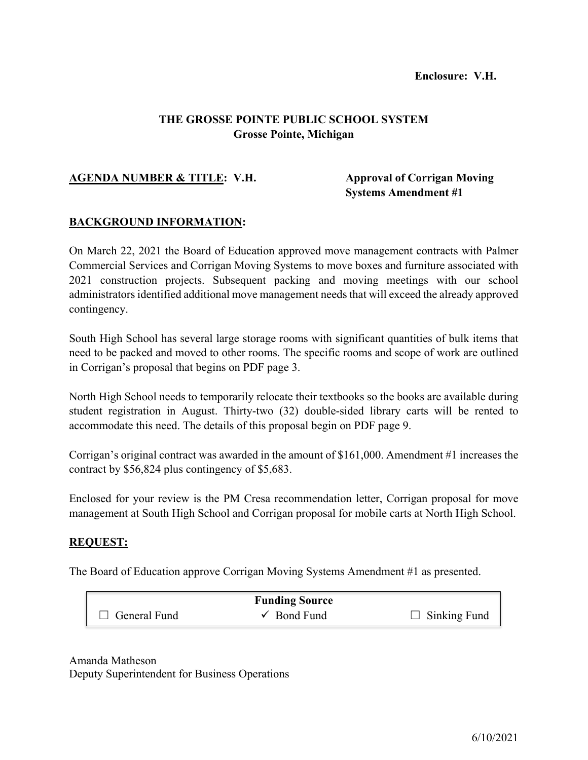### **THE GROSSE POINTE PUBLIC SCHOOL SYSTEM Grosse Pointe, Michigan**

### **AGENDA NUMBER & TITLE: V.H. Approval of Corrigan Moving**

**Systems Amendment #1**

### **BACKGROUND INFORMATION:**

On March 22, 2021 the Board of Education approved move management contracts with Palmer Commercial Services and Corrigan Moving Systems to move boxes and furniture associated with 2021 construction projects. Subsequent packing and moving meetings with our school administrators identified additional move management needs that will exceed the already approved contingency.

South High School has several large storage rooms with significant quantities of bulk items that need to be packed and moved to other rooms. The specific rooms and scope of work are outlined in Corrigan's proposal that begins on PDF page 3.

North High School needs to temporarily relocate their textbooks so the books are available during student registration in August. Thirty-two (32) double-sided library carts will be rented to accommodate this need. The details of this proposal begin on PDF page 9.

Corrigan's original contract was awarded in the amount of \$161,000. Amendment #1 increases the contract by \$56,824 plus contingency of \$5,683.

Enclosed for your review is the PM Cresa recommendation letter, Corrigan proposal for move management at South High School and Corrigan proposal for mobile carts at North High School.

### **REQUEST:**

The Board of Education approve Corrigan Moving Systems Amendment #1 as presented.

|                     | <b>Funding Source</b>  |                     |
|---------------------|------------------------|---------------------|
| $\Box$ General Fund | $\checkmark$ Bond Fund | $\Box$ Sinking Fund |

Amanda Matheson Deputy Superintendent for Business Operations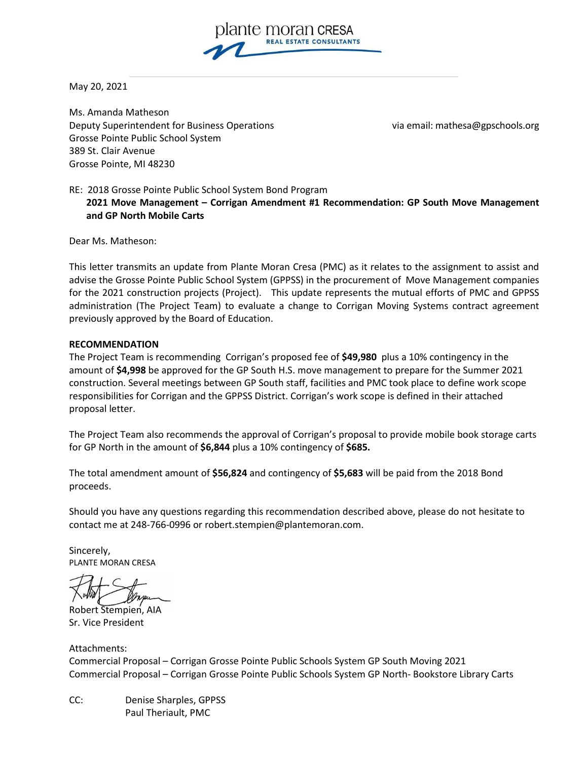

May 20, 2021

Ms. Amanda Matheson Deputy Superintendent for Business Operations via email: mathesa@gpschools.org Grosse Pointe Public School System 389 St. Clair Avenue Grosse Pointe, MI 48230

RE: 2018 Grosse Pointe Public School System Bond Program **2021 Move Management – Corrigan Amendment #1 Recommendation: GP South Move Management and GP North Mobile Carts**

Dear Ms. Matheson:

This letter transmits an update from Plante Moran Cresa (PMC) as it relates to the assignment to assist and advise the Grosse Pointe Public School System (GPPSS) in the procurement of Move Management companies for the 2021 construction projects (Project). This update represents the mutual efforts of PMC and GPPSS administration (The Project Team) to evaluate a change to Corrigan Moving Systems contract agreement previously approved by the Board of Education.

#### **RECOMMENDATION**

The Project Team is recommending Corrigan's proposed fee of **\$49,980** plus a 10% contingency in the amount of **\$4,998** be approved for the GP South H.S. move management to prepare for the Summer 2021 construction. Several meetings between GP South staff, facilities and PMC took place to define work scope responsibilities for Corrigan and the GPPSS District. Corrigan's work scope is defined in their attached proposal letter.

The Project Team also recommends the approval of Corrigan's proposal to provide mobile book storage carts for GP North in the amount of **\$6,844** plus a 10% contingency of **\$685.** 

The total amendment amount of **\$56,824** and contingency of **\$5,683** will be paid from the 2018 Bond proceeds.

Should you have any questions regarding this recommendation described above, please do not hesitate to contact me at 248-766-0996 or [robert.stempien@plantemoran.com.](mailto:robert.stempien@plantemoran.com)

Sincerely, PLANTE MORAN CRESA

Robert Stempien, AIA Sr. Vice President

Attachments: Commercial Proposal – Corrigan Grosse Pointe Public Schools System GP South Moving 2021 Commercial Proposal – Corrigan Grosse Pointe Public Schools System GP North- Bookstore Library Carts

CC: Denise Sharples, GPPSS Paul Theriault, PMC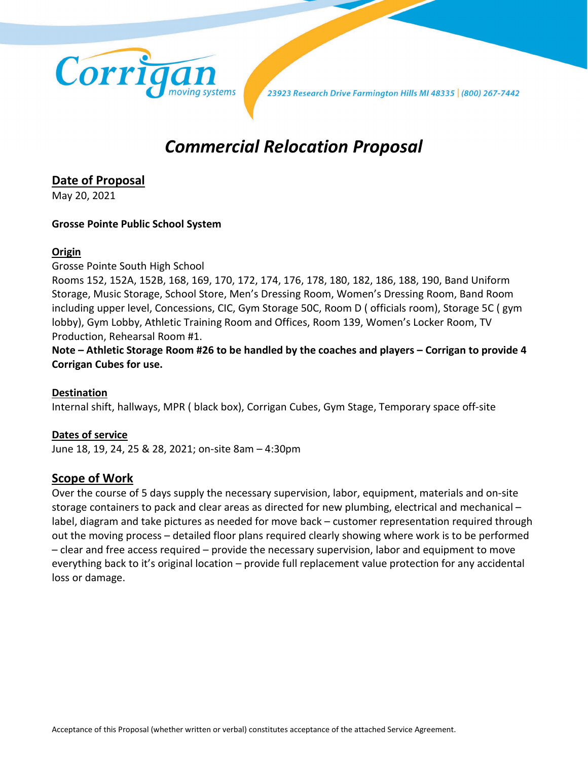

23923 Research Drive Farmington Hills MI 48335 (800) 267-7442

# *Commercial Relocation Proposal*

## **Date of Proposal**

May 20, 2021

### **Grosse Pointe Public School System**

### **Origin**

Grosse Pointe South High School

Rooms 152, 152A, 152B, 168, 169, 170, 172, 174, 176, 178, 180, 182, 186, 188, 190, Band Uniform Storage, Music Storage, School Store, Men's Dressing Room, Women's Dressing Room, Band Room including upper level, Concessions, CIC, Gym Storage 50C, Room D ( officials room), Storage 5C ( gym lobby), Gym Lobby, Athletic Training Room and Offices, Room 139, Women's Locker Room, TV Production, Rehearsal Room #1.

**Note – Athletic Storage Room #26 to be handled by the coaches and players – Corrigan to provide 4 Corrigan Cubes for use.**

### **Destination**

Internal shift, hallways, MPR ( black box), Corrigan Cubes, Gym Stage, Temporary space off-site

### **Dates of service**

June 18, 19, 24, 25 & 28, 2021; on-site 8am – 4:30pm

### **Scope of Work**

Over the course of 5 days supply the necessary supervision, labor, equipment, materials and on-site storage containers to pack and clear areas as directed for new plumbing, electrical and mechanical – label, diagram and take pictures as needed for move back – customer representation required through out the moving process – detailed floor plans required clearly showing where work is to be performed – clear and free access required – provide the necessary supervision, labor and equipment to move everything back to it's original location – provide full replacement value protection for any accidental loss or damage.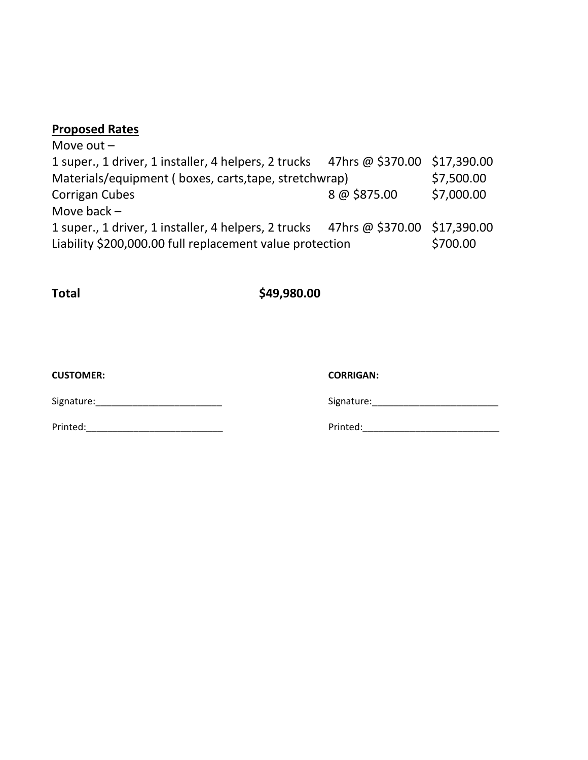### **Proposed Rates**

Move out – 1 super., 1 driver, 1 installer, 4 helpers, 2 trucks 47hrs @ \$370.00 \$17,390.00 Materials/equipment ( boxes, carts,tape, stretchwrap) \$7,500.00 Corrigan Cubes 8 @ \$875.00 \$7,000.00 Move back – 1 super., 1 driver, 1 installer, 4 helpers, 2 trucks 47hrs @ \$370.00 \$17,390.00 Liability \$200,000.00 full replacement value protection \$700.00

**Total \$49,980.00**

**CUSTOMER: CORRIGAN:**

Signature: etc. All the state of the state of the Signature: Signature:

Printed:\_\_\_\_\_\_\_\_\_\_\_\_\_\_\_\_\_\_\_\_\_\_\_\_\_\_ Printed:\_\_\_\_\_\_\_\_\_\_\_\_\_\_\_\_\_\_\_\_\_\_\_\_\_\_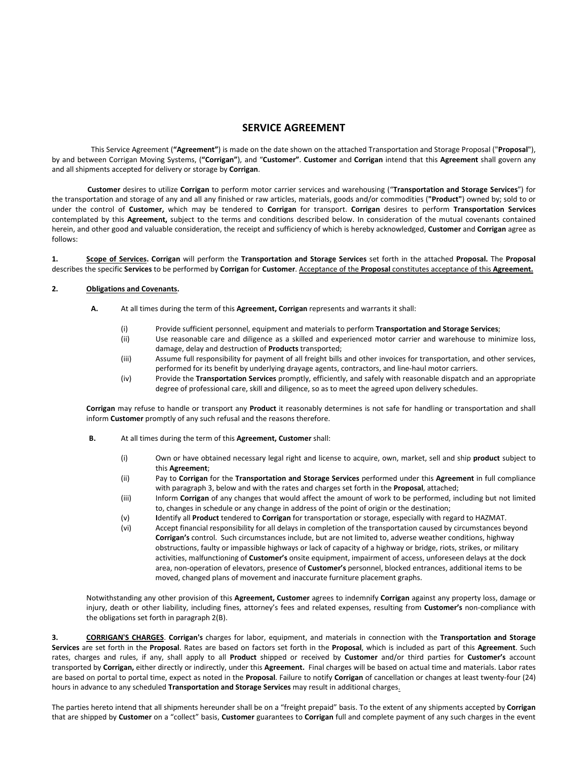#### **SERVICE AGREEMENT**

This Service Agreement (**"Agreement"**) is made on the date shown on the attached Transportation and Storage Proposal ("**Proposal**"), by and between Corrigan Moving Systems, (**"Corrigan"**), and "**Customer"**. **Customer** and **Corrigan** intend that this **Agreement** shall govern any and all shipments accepted for delivery or storage by **Corrigan**.

**Customer** desires to utilize **Corrigan** to perform motor carrier services and warehousing ("**Transportation and Storage Services**") for the transportation and storage of any and all any finished or raw articles, materials, goods and/or commodities (**"Product"**) owned by; sold to or under the control of **Customer,** which may be tendered to **Corrigan** for transport. **Corrigan** desires to perform **Transportation Services** contemplated by this **Agreement,** subject to the terms and conditions described below. In consideration of the mutual covenants contained herein, and other good and valuable consideration, the receipt and sufficiency of which is hereby acknowledged, **Customer** and **Corrigan** agree as follows:

**1. Scope of Services. Corrigan** will perform the **Transportation and Storage Services** set forth in the attached **Proposal.** The **Proposal** describes the specific **Services** to be performed by **Corrigan** for **Customer**. Acceptance of the **Proposal** constitutes acceptance of this **Agreement.**

#### **2. Obligations and Covenants.**

- **A.** At all times during the term of this **Agreement, Corrigan** represents and warrants it shall:
	- (i) Provide sufficient personnel, equipment and materials to perform **Transportation and Storage Services**;
	- (ii) Use reasonable care and diligence as a skilled and experienced motor carrier and warehouse to minimize loss, damage, delay and destruction of **Products** transported;
	- (iii) Assume full responsibility for payment of all freight bills and other invoices for transportation, and other services, performed for its benefit by underlying drayage agents, contractors, and line-haul motor carriers.
	- (iv) Provide the **Transportation Services** promptly, efficiently, and safely with reasonable dispatch and an appropriate degree of professional care, skill and diligence, so as to meet the agreed upon delivery schedules.

**Corrigan** may refuse to handle or transport any **Product** it reasonably determines is not safe for handling or transportation and shall inform **Customer** promptly of any such refusal and the reasons therefore.

- **B.** At all times during the term of this **Agreement, Customer** shall:
	- (i) Own or have obtained necessary legal right and license to acquire, own, market, sell and ship **product** subject to this **Agreement**;
	- (ii) Pay to **Corrigan** for the **Transportation and Storage Services** performed under this **Agreement** in full compliance with paragraph 3, below and with the rates and charges set forth in the **Proposal**, attached;
	- (iii) Inform **Corrigan** of any changes that would affect the amount of work to be performed, including but not limited to, changes in schedule or any change in address of the point of origin or the destination;
	- (v) **I**dentify all **Product** tendered to **Corrigan** for transportation or storage, especially with regard to HAZMAT.
	- (vi) Accept financial responsibility for all delays in completion of the transportation caused by circumstances beyond **Corrigan's** control. Such circumstances include, but are not limited to, adverse weather conditions, highway obstructions, faulty or impassible highways or lack of capacity of a highway or bridge, riots, strikes, or military activities, malfunctioning of **Customer's** onsite equipment, impairment of access, unforeseen delays at the dock area, non-operation of elevators, presence of **Customer's** personnel, blocked entrances, additional items to be moved, changed plans of movement and inaccurate furniture placement graphs.

Notwithstanding any other provision of this **Agreement, Customer** agrees to indemnify **Corrigan** against any property loss, damage or injury, death or other liability, including fines, attorney's fees and related expenses, resulting from **Customer's** non-compliance with the obligations set forth in paragraph 2(B).

**3. CORRIGAN'S CHARGES**. **Corrigan's** charges for labor, equipment, and materials in connection with the **Transportation and Storage Services** are set forth in the **Proposal**. Rates are based on factors set forth in the **Proposal**, which is included as part of this **Agreement**. Such rates, charges and rules, if any, shall apply to all **Product** shipped or received by **Customer** and/or third parties for **Customer's** account transported by **Corrigan,** either directly or indirectly, under this **Agreement.** Final charges will be based on actual time and materials. Labor rates are based on portal to portal time, expect as noted in the **Proposal**. Failure to notify **Corrigan** of cancellation or changes at least twenty-four (24) hours in advance to any scheduled **Transportation and Storage Services** may result in additional charges.

The parties hereto intend that all shipments hereunder shall be on a "freight prepaid" basis. To the extent of any shipments accepted by **Corrigan** that are shipped by **Customer** on a "collect" basis, **Customer** guarantees to **Corrigan** full and complete payment of any such charges in the event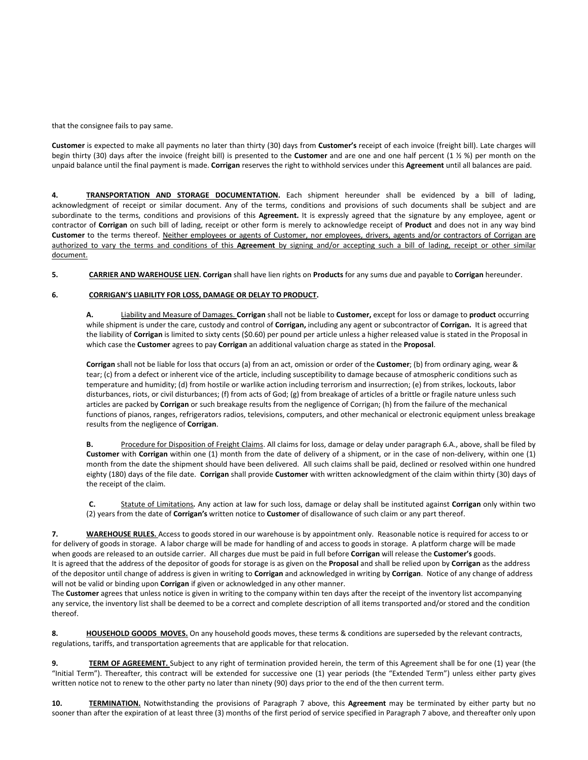that the consignee fails to pay same.

**Customer** is expected to make all payments no later than thirty (30) days from **Customer's** receipt of each invoice (freight bill). Late charges will begin thirty (30) days after the invoice (freight bill) is presented to the **Customer** and are one and one half percent (1 ½ %) per month on the unpaid balance until the final payment is made. **Corrigan** reserves the right to withhold services under this **Agreement** until all balances are paid.

**4. TRANSPORTATION AND STORAGE DOCUMENTATION.** Each shipment hereunder shall be evidenced by a bill of lading, acknowledgment of receipt or similar document. Any of the terms, conditions and provisions of such documents shall be subject and are subordinate to the terms, conditions and provisions of this **Agreement.** It is expressly agreed that the signature by any employee, agent or contractor of **Corrigan** on such bill of lading, receipt or other form is merely to acknowledge receipt of **Product** and does not in any way bind **Customer** to the terms thereof. Neither employees or agents of Customer, nor employees, drivers, agents and/or contractors of Corrigan are authorized to vary the terms and conditions of this **Agreement** by signing and/or accepting such a bill of lading, receipt or other similar document.

**5. CARRIER AND WAREHOUSE LIEN. Corrigan** shall have lien rights on **Products** for any sums due and payable to **Corrigan** hereunder.

#### **6. CORRIGAN'S LIABILITY FOR LOSS, DAMAGE OR DELAY TO PRODUCT.**

**A.** Liability and Measure of Damages. **Corrigan** shall not be liable to **Customer,** except for loss or damage to **product** occurring while shipment is under the care, custody and control of **Corrigan,** including any agent or subcontractor of **Corrigan.** It is agreed that the liability of **Corrigan** is limited to sixty cents (\$0.60) per pound per article unless a higher released value is stated in the Proposal in which case the **Customer** agrees to pay **Corrigan** an additional valuation charge as stated in the **Proposal**.

**Corrigan** shall not be liable for loss that occurs (a) from an act, omission or order of the **Customer**; (b) from ordinary aging, wear & tear; (c) from a defect or inherent vice of the article, including susceptibility to damage because of atmospheric conditions such as temperature and humidity; (d) from hostile or warlike action including terrorism and insurrection; (e) from strikes, lockouts, labor disturbances, riots, or civil disturbances; (f) from acts of God; (g) from breakage of articles of a brittle or fragile nature unless such articles are packed by **Corrigan** or such breakage results from the negligence of Corrigan; (h) from the failure of the mechanical functions of pianos, ranges, refrigerators radios, televisions, computers, and other mechanical or electronic equipment unless breakage results from the negligence of **Corrigan**.

**B.** Procedure for Disposition of Freight Claims. All claims for loss, damage or delay under paragraph 6.A., above, shall be filed by **Customer** with **Corrigan** within one (1) month from the date of delivery of a shipment, or in the case of non-delivery, within one (1) month from the date the shipment should have been delivered. All such claims shall be paid, declined or resolved within one hundred eighty (180) days of the file date. **Corrigan** shall provide **Customer** with written acknowledgment of the claim within thirty (30) days of the receipt of the claim.

**C.** Statute of Limitations*.* Any action at law for such loss, damage or delay shall be instituted against **Corrigan** only within two (2) years from the date of **Corrigan's** written notice to **Customer** of disallowance of such claim or any part thereof.

**7. WAREHOUSE RULES.** Access to goods stored in our warehouse is by appointment only. Reasonable notice is required for access to or for delivery of goods in storage. A labor charge will be made for handling of and access to goods in storage. A platform charge will be made when goods are released to an outside carrier. All charges due must be paid in full before **Corrigan** will release the **Customer's** goods. It is agreed that the address of the depositor of goods for storage is as given on the **Proposal** and shall be relied upon by **Corrigan** as the address of the depositor until change of address is given in writing to **Corrigan** and acknowledged in writing by **Corrigan**. Notice of any change of address will not be valid or binding upon **Corrigan** if given or acknowledged in any other manner.

The **Customer** agrees that unless notice is given in writing to the company within ten days after the receipt of the inventory list accompanying any service, the inventory list shall be deemed to be a correct and complete description of all items transported and/or stored and the condition thereof.

**8. HOUSEHOLD GOODS MOVES.** On any household goods moves, these terms & conditions are superseded by the relevant contracts, regulations, tariffs, and transportation agreements that are applicable for that relocation.

**9. TERM OF AGREEMENT.** Subject to any right of termination provided herein, the term of this Agreement shall be for one (1) year (the "Initial Term"). Thereafter, this contract will be extended for successive one (1) year periods (the "Extended Term") unless either party gives written notice not to renew to the other party no later than ninety (90) days prior to the end of the then current term.

**10. TERMINATION.** Notwithstanding the provisions of Paragraph 7 above, this **Agreement** may be terminated by either party but no sooner than after the expiration of at least three (3) months of the first period of service specified in Paragraph 7 above, and thereafter only upon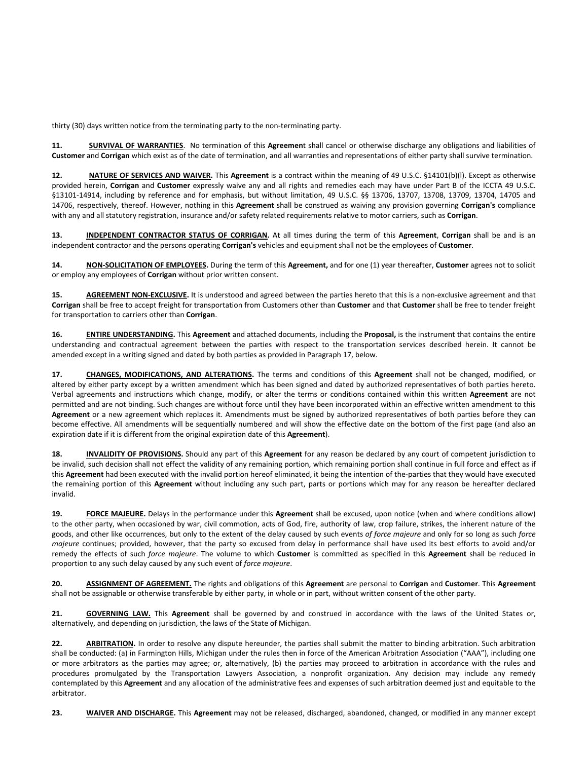thirty (30) days written notice from the terminating party to the non-terminating party.

**11. SURVIVAL OF WARRANTIES**. No termination of this **Agreemen**t shall cancel or otherwise discharge any obligations and liabilities of **Customer** and **Corrigan** which exist as of the date of termination, and all warranties and representations of either party shall survive termination.

**12. NATURE OF SERVICES AND WAIVER.** This **Agreement** is a contract within the meaning of 49 U.S.C. §14101(b)(l). Except as otherwise provided herein, **Corrigan** and **Customer** expressly waive any and all rights and remedies each may have under Part B of the ICCTA 49 U.S.C. §13101-14914, including by reference and for emphasis, but without limitation, 49 U.S.C. §§ 13706, 13707, 13708, 13709, 13704, 14705 and 14706, respectively, thereof. However, nothing in this **Agreement** shall be construed as waiving any provision governing **Corrigan's** compliance with any and all statutory registration, insurance and/or safety related requirements relative to motor carriers, such as **Corrigan**.

**13. INDEPENDENT CONTRACTOR STATUS OF CORRIGAN.** At all times during the term of this **Agreement**, **Corrigan** shall be and is an independent contractor and the persons operating **Corrigan's** vehicles and equipment shall not be the employees of **Customer**.

**14. NON-SOLICITATION OF EMPLOYEES.** During the term of this **Agreement,** and for one (1) year thereafter, **Customer** agrees not to solicit or employ any employees of **Corrigan** without prior written consent.

15. **AGREEMENT NON-EXCLUSIVE.** It is understood and agreed between the parties hereto that this is a non-exclusive agreement and that **Corrigan** shall be free to accept freight for transportation from Customers other than **Customer** and that **Customer** shall be free to tender freight for transportation to carriers other than **Corrigan**.

**16. ENTIRE UNDERSTANDING.** This **Agreement** and attached documents, including the **Proposal,** is the instrument that contains the entire understanding and contractual agreement between the parties with respect to the transportation services described herein. It cannot be amended except in a writing signed and dated by both parties as provided in Paragraph 17, below.

**17. CHANGES, MODIFICATIONS, AND ALTERATIONS.** The terms and conditions of this **Agreement** shall not be changed, modified, or altered by either party except by a written amendment which has been signed and dated by authorized representatives of both parties hereto. Verbal agreements and instructions which change, modify, or alter the terms or conditions contained within this written **Agreement** are not permitted and are not binding. Such changes are without force until they have been incorporated within an effective written amendment to this **Agreement** or a new agreement which replaces it. Amendments must be signed by authorized representatives of both parties before they can become effective. All amendments will be sequentially numbered and will show the effective date on the bottom of the first page (and also an expiration date if it is different from the original expiration date of this **Agreement**).

**18. INVALIDITY OF PROVISIONS.** Should any part of this **Agreement** for any reason be declared by any court of competent jurisdiction to be invalid, such decision shall not effect the validity of any remaining portion, which remaining portion shall continue in full force and effect as if this **Agreement** had been executed with the invalid portion hereof eliminated, it being the intention of the-parties that they would have executed the remaining portion of this **Agreement** without including any such part, parts or portions which may for any reason be hereafter declared invalid.

**19. FORCE MAJEURE.** Delays in the performance under this **Agreement** shall be excused, upon notice (when and where conditions allow) to the other party, when occasioned by war, civil commotion, acts of God, fire, authority of law, crop failure, strikes, the inherent nature of the goods, and other like occurrences, but only to the extent of the delay caused by such events *of force majeure* and only for so long as such *force majeure* continues; provided, however, that the party so excused from delay in performance shall have used its best efforts to avoid and/or remedy the effects of such *force majeure*. The volume to which **Customer** is committed as specified in this **Agreement** shall be reduced in proportion to any such delay caused by any such event of *force majeure*.

**20. ASSIGNMENT OF AGREEMENT.** The rights and obligations of this **Agreement** are personal to **Corrigan** and **Customer**. This **Agreement** shall not be assignable or otherwise transferable by either party, in whole or in part, without written consent of the other party.

**21. GOVERNING LAW.** This **Agreement** shall be governed by and construed in accordance with the laws of the United States or, alternatively, and depending on jurisdiction, the laws of the State of Michigan.

**22. ARBITRATION.** In order to resolve any dispute hereunder, the parties shall submit the matter to binding arbitration. Such arbitration shall be conducted: (a) in Farmington Hills, Michigan under the rules then in force of the American Arbitration Association ("AAA"), including one or more arbitrators as the parties may agree; or, alternatively, (b) the parties may proceed to arbitration in accordance with the rules and procedures promulgated by the Transportation Lawyers Association, a nonprofit organization. Any decision may include any remedy contemplated by this **Agreement** and any allocation of the administrative fees and expenses of such arbitration deemed just and equitable to the arbitrator.

**23. WAIVER AND DISCHARGE.** This **Agreement** may not be released, discharged, abandoned, changed, or modified in any manner except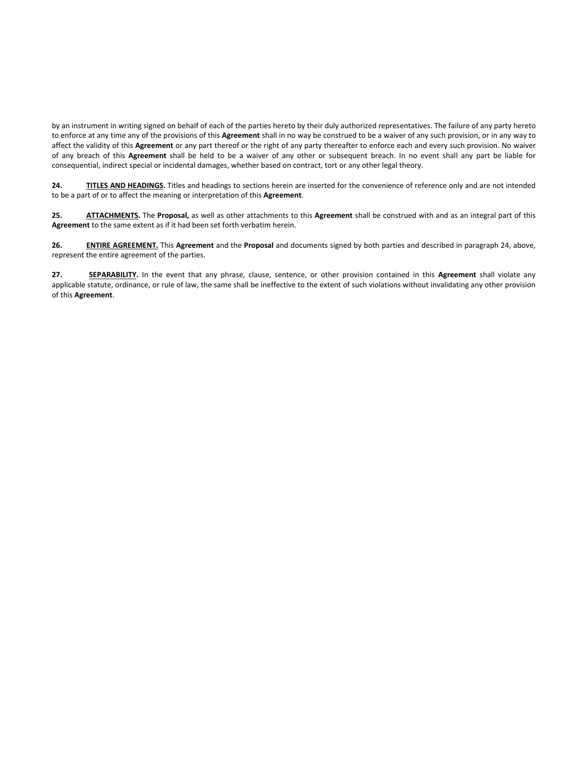by an instrument in writing signed on behalf of each of the parties hereto by their duly authorized representatives. The failure of any party hereto to enforce at any time any of the provisions of this **Agreement** shall in no way be construed to be a waiver of any such provision, or in any way to affect the validity of this **Agreement** or any part thereof or the right of any party thereafter to enforce each and every such provision. No waiver of any breach of this **Agreement** shall be held to be a waiver of any other or subsequent breach. In no event shall any part be liable for consequential, indirect special or incidental damages, whether based on contract, tort or any other legal theory.

**24. TITLES AND HEADINGS.** Titles and headings to sections herein are inserted for the convenience of reference only and are not intended to be a part of or to affect the meaning or interpretation of this **Agreement**.

**25. ATTACHMENTS.** The **Proposal,** as well as other attachments to this **Agreement** shall be construed with and as an integral part of this **Agreement** to the same extent as if it had been set forth verbatim herein.

**26. ENTIRE AGREEMENT.** This **Agreement** and the **Proposal** and documents signed by both parties and described in paragraph 24, above, represent the entire agreement of the parties.

**27. SEPARABILITY.** In the event that any phrase, clause, sentence, or other provision contained in this **Agreement** shall violate any applicable statute, ordinance, or rule of law, the same shall be ineffective to the extent of such violations without invalidating any other provision of this **Agreement**.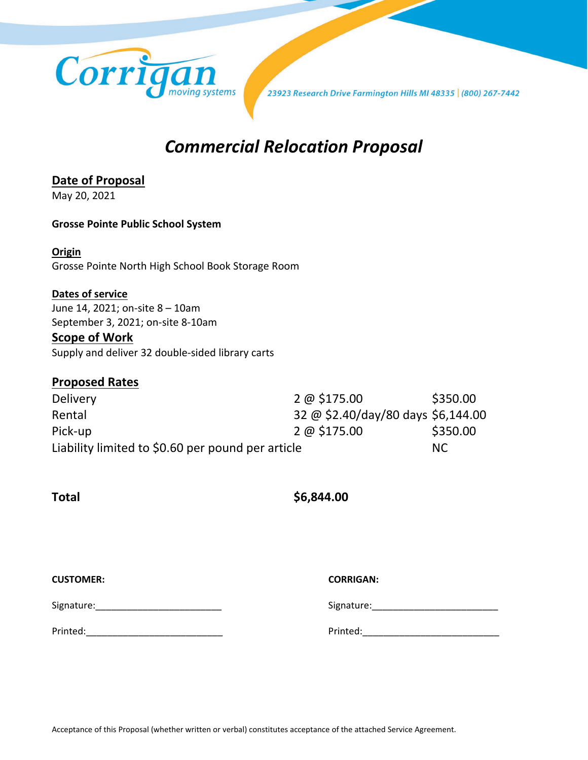

23923 Research Drive Farmington Hills MI 48335 | (800) 267-7442

# *Commercial Relocation Proposal*

### **Date of Proposal**

May 20, 2021

### **Grosse Pointe Public School System**

### **Origin**

Grosse Pointe North High School Book Storage Room

### **Dates of service**

June 14, 2021; on-site 8 – 10am September 3, 2021; on-site 8-10am

### **Scope of Work**

Supply and deliver 32 double-sided library carts

### **Proposed Rates**

| <b>Delivery</b>                                   | $2 \omega$ \$175.00                | \$350.00 |
|---------------------------------------------------|------------------------------------|----------|
| Rental                                            | 32 @ \$2.40/day/80 days \$6,144.00 |          |
| Pick-up                                           | $2 \omega$ \$175.00                | \$350.00 |
| Liability limited to \$0.60 per pound per article |                                    | NC.      |

**Total \$6,844.00**

| <b>CUSTOMER:</b> | <b>CORRIGAN:</b> |
|------------------|------------------|
| Signature:       | Signature:       |
| Printed:         | Printed:         |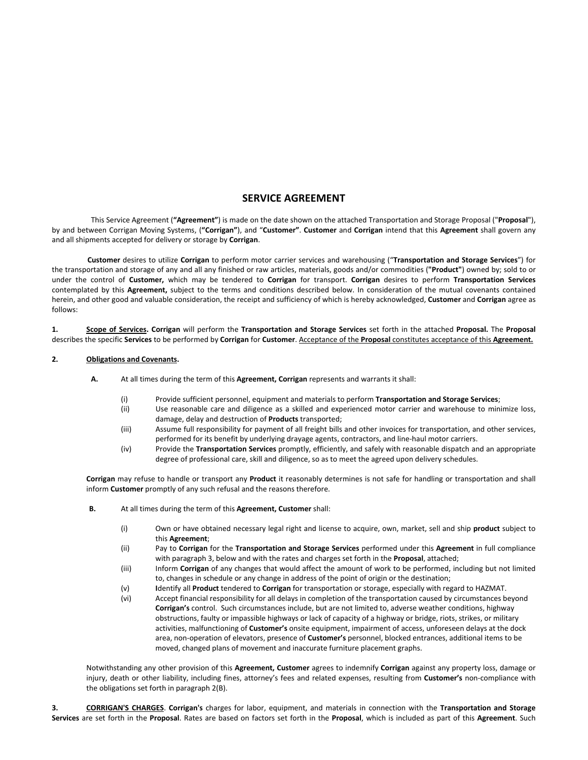### **SERVICE AGREEMENT**

This Service Agreement (**"Agreement"**) is made on the date shown on the attached Transportation and Storage Proposal ("**Proposal**"), by and between Corrigan Moving Systems, (**"Corrigan"**), and "**Customer"**. **Customer** and **Corrigan** intend that this **Agreement** shall govern any and all shipments accepted for delivery or storage by **Corrigan**.

**Customer** desires to utilize **Corrigan** to perform motor carrier services and warehousing ("**Transportation and Storage Services**") for the transportation and storage of any and all any finished or raw articles, materials, goods and/or commodities (**"Product"**) owned by; sold to or under the control of **Customer,** which may be tendered to **Corrigan** for transport. **Corrigan** desires to perform **Transportation Services** contemplated by this **Agreement,** subject to the terms and conditions described below. In consideration of the mutual covenants contained herein, and other good and valuable consideration, the receipt and sufficiency of which is hereby acknowledged, **Customer** and **Corrigan** agree as follows:

**1. Scope of Services. Corrigan** will perform the **Transportation and Storage Services** set forth in the attached **Proposal.** The **Proposal** describes the specific **Services** to be performed by **Corrigan** for **Customer**. Acceptance of the **Proposal** constitutes acceptance of this **Agreement.**

#### **2. Obligations and Covenants.**

- **A.** At all times during the term of this **Agreement, Corrigan** represents and warrants it shall:
	- (i) Provide sufficient personnel, equipment and materials to perform **Transportation and Storage Services**;
	- (ii) Use reasonable care and diligence as a skilled and experienced motor carrier and warehouse to minimize loss, damage, delay and destruction of **Products** transported;
	- (iii) Assume full responsibility for payment of all freight bills and other invoices for transportation, and other services, performed for its benefit by underlying drayage agents, contractors, and line-haul motor carriers.
	- (iv) Provide the **Transportation Services** promptly, efficiently, and safely with reasonable dispatch and an appropriate degree of professional care, skill and diligence, so as to meet the agreed upon delivery schedules.

**Corrigan** may refuse to handle or transport any **Product** it reasonably determines is not safe for handling or transportation and shall inform **Customer** promptly of any such refusal and the reasons therefore.

- **B.** At all times during the term of this **Agreement, Customer** shall:
	- (i) Own or have obtained necessary legal right and license to acquire, own, market, sell and ship **product** subject to this **Agreement**;
	- (ii) Pay to **Corrigan** for the **Transportation and Storage Services** performed under this **Agreement** in full compliance with paragraph 3, below and with the rates and charges set forth in the **Proposal**, attached;
	- (iii) Inform **Corrigan** of any changes that would affect the amount of work to be performed, including but not limited to, changes in schedule or any change in address of the point of origin or the destination;
	- (v) **I**dentify all **Product** tendered to **Corrigan** for transportation or storage, especially with regard to HAZMAT.
	- (vi) Accept financial responsibility for all delays in completion of the transportation caused by circumstances beyond **Corrigan's** control. Such circumstances include, but are not limited to, adverse weather conditions, highway obstructions, faulty or impassible highways or lack of capacity of a highway or bridge, riots, strikes, or military activities, malfunctioning of **Customer's** onsite equipment, impairment of access, unforeseen delays at the dock area, non-operation of elevators, presence of **Customer's** personnel, blocked entrances, additional items to be moved, changed plans of movement and inaccurate furniture placement graphs.

Notwithstanding any other provision of this **Agreement, Customer** agrees to indemnify **Corrigan** against any property loss, damage or injury, death or other liability, including fines, attorney's fees and related expenses, resulting from **Customer's** non-compliance with the obligations set forth in paragraph 2(B).

**3. CORRIGAN'S CHARGES**. **Corrigan's** charges for labor, equipment, and materials in connection with the **Transportation and Storage Services** are set forth in the **Proposal**. Rates are based on factors set forth in the **Proposal**, which is included as part of this **Agreement**. Such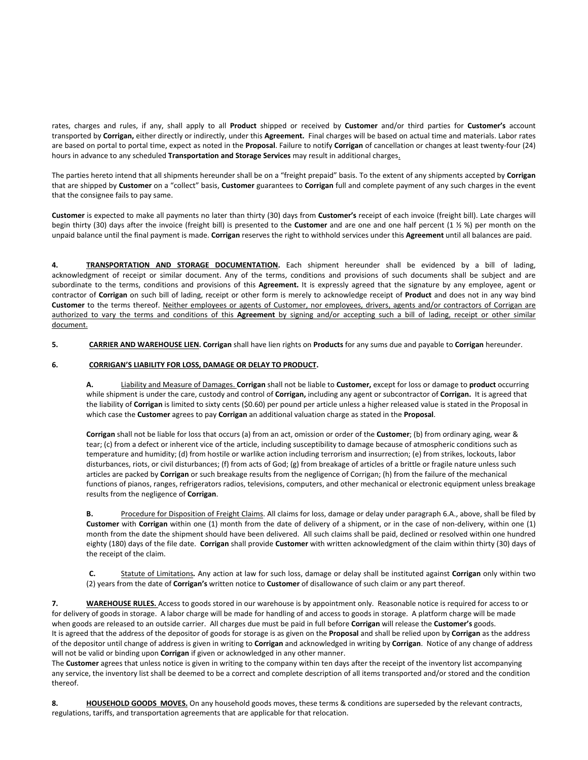rates, charges and rules, if any, shall apply to all **Product** shipped or received by **Customer** and/or third parties for **Customer's** account transported by **Corrigan,** either directly or indirectly, under this **Agreement.** Final charges will be based on actual time and materials. Labor rates are based on portal to portal time, expect as noted in the **Proposal**. Failure to notify **Corrigan** of cancellation or changes at least twenty-four (24) hours in advance to any scheduled **Transportation and Storage Services** may result in additional charges.

The parties hereto intend that all shipments hereunder shall be on a "freight prepaid" basis. To the extent of any shipments accepted by **Corrigan** that are shipped by **Customer** on a "collect" basis, **Customer** guarantees to **Corrigan** full and complete payment of any such charges in the event that the consignee fails to pay same.

**Customer** is expected to make all payments no later than thirty (30) days from **Customer's** receipt of each invoice (freight bill). Late charges will begin thirty (30) days after the invoice (freight bill) is presented to the **Customer** and are one and one half percent (1 ½ %) per month on the unpaid balance until the final payment is made. **Corrigan** reserves the right to withhold services under this **Agreement** until all balances are paid.

**4. TRANSPORTATION AND STORAGE DOCUMENTATION.** Each shipment hereunder shall be evidenced by a bill of lading, acknowledgment of receipt or similar document. Any of the terms, conditions and provisions of such documents shall be subject and are subordinate to the terms, conditions and provisions of this **Agreement.** It is expressly agreed that the signature by any employee, agent or contractor of **Corrigan** on such bill of lading, receipt or other form is merely to acknowledge receipt of **Product** and does not in any way bind Customer to the terms thereof. Neither employees or agents of Customer, nor employees, drivers, agents and/or contractors of Corrigan are authorized to vary the terms and conditions of this **Agreement** by signing and/or accepting such a bill of lading, receipt or other similar document.

**5. CARRIER AND WAREHOUSE LIEN. Corrigan** shall have lien rights on **Products** for any sums due and payable to **Corrigan** hereunder.

#### **6. CORRIGAN'S LIABILITY FOR LOSS, DAMAGE OR DELAY TO PRODUCT.**

**A.** Liability and Measure of Damages. **Corrigan** shall not be liable to **Customer,** except for loss or damage to **product** occurring while shipment is under the care, custody and control of **Corrigan,** including any agent or subcontractor of **Corrigan.** It is agreed that the liability of **Corrigan** is limited to sixty cents (\$0.60) per pound per article unless a higher released value is stated in the Proposal in which case the **Customer** agrees to pay **Corrigan** an additional valuation charge as stated in the **Proposal**.

**Corrigan** shall not be liable for loss that occurs (a) from an act, omission or order of the **Customer**; (b) from ordinary aging, wear & tear; (c) from a defect or inherent vice of the article, including susceptibility to damage because of atmospheric conditions such as temperature and humidity; (d) from hostile or warlike action including terrorism and insurrection; (e) from strikes, lockouts, labor disturbances, riots, or civil disturbances; (f) from acts of God; (g) from breakage of articles of a brittle or fragile nature unless such articles are packed by **Corrigan** or such breakage results from the negligence of Corrigan; (h) from the failure of the mechanical functions of pianos, ranges, refrigerators radios, televisions, computers, and other mechanical or electronic equipment unless breakage results from the negligence of **Corrigan**.

**B.** Procedure for Disposition of Freight Claims. All claims for loss, damage or delay under paragraph 6.A., above, shall be filed by **Customer** with **Corrigan** within one (1) month from the date of delivery of a shipment, or in the case of non-delivery, within one (1) month from the date the shipment should have been delivered. All such claims shall be paid, declined or resolved within one hundred eighty (180) days of the file date. **Corrigan** shall provide **Customer** with written acknowledgment of the claim within thirty (30) days of the receipt of the claim.

**C.** Statute of Limitations*.* Any action at law for such loss, damage or delay shall be instituted against **Corrigan** only within two (2) years from the date of **Corrigan's** written notice to **Customer** of disallowance of such claim or any part thereof.

**7. WAREHOUSE RULES.** Access to goods stored in our warehouse is by appointment only. Reasonable notice is required for access to or for delivery of goods in storage. A labor charge will be made for handling of and access to goods in storage. A platform charge will be made when goods are released to an outside carrier. All charges due must be paid in full before **Corrigan** will release the **Customer's** goods. It is agreed that the address of the depositor of goods for storage is as given on the **Proposal** and shall be relied upon by **Corrigan** as the address of the depositor until change of address is given in writing to **Corrigan** and acknowledged in writing by **Corrigan**. Notice of any change of address will not be valid or binding upon **Corrigan** if given or acknowledged in any other manner.

The **Customer** agrees that unless notice is given in writing to the company within ten days after the receipt of the inventory list accompanying any service, the inventory list shall be deemed to be a correct and complete description of all items transported and/or stored and the condition thereof.

8. **HOUSEHOLD GOODS MOVES.** On any household goods moves, these terms & conditions are superseded by the relevant contracts, regulations, tariffs, and transportation agreements that are applicable for that relocation.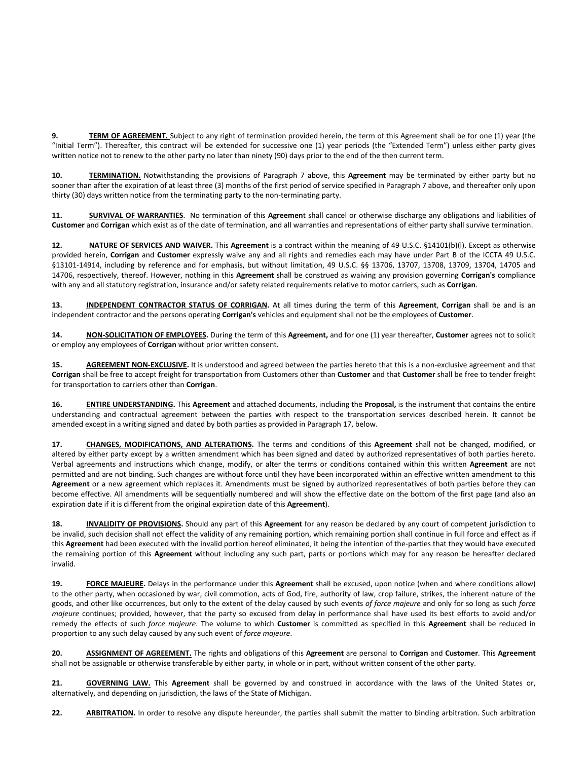**9. TERM OF AGREEMENT.** Subject to any right of termination provided herein, the term of this Agreement shall be for one (1) year (the "Initial Term"). Thereafter, this contract will be extended for successive one (1) year periods (the "Extended Term") unless either party gives written notice not to renew to the other party no later than ninety (90) days prior to the end of the then current term.

**10. TERMINATION.** Notwithstanding the provisions of Paragraph 7 above, this **Agreement** may be terminated by either party but no sooner than after the expiration of at least three (3) months of the first period of service specified in Paragraph 7 above, and thereafter only upon thirty (30) days written notice from the terminating party to the non-terminating party.

**11. SURVIVAL OF WARRANTIES**. No termination of this **Agreemen**t shall cancel or otherwise discharge any obligations and liabilities of **Customer** and **Corrigan** which exist as of the date of termination, and all warranties and representations of either party shall survive termination.

**12. NATURE OF SERVICES AND WAIVER.** This **Agreement** is a contract within the meaning of 49 U.S.C. §14101(b)(l). Except as otherwise provided herein, **Corrigan** and **Customer** expressly waive any and all rights and remedies each may have under Part B of the ICCTA 49 U.S.C. §13101-14914, including by reference and for emphasis, but without limitation, 49 U.S.C. §§ 13706, 13707, 13708, 13709, 13704, 14705 and 14706, respectively, thereof. However, nothing in this **Agreement** shall be construed as waiving any provision governing **Corrigan's** compliance with any and all statutory registration, insurance and/or safety related requirements relative to motor carriers, such as **Corrigan**.

**13. INDEPENDENT CONTRACTOR STATUS OF CORRIGAN.** At all times during the term of this **Agreement**, **Corrigan** shall be and is an independent contractor and the persons operating **Corrigan's** vehicles and equipment shall not be the employees of **Customer**.

**14. NON-SOLICITATION OF EMPLOYEES.** During the term of this **Agreement,** and for one (1) year thereafter, **Customer** agrees not to solicit or employ any employees of **Corrigan** without prior written consent.

15. **AGREEMENT NON-EXCLUSIVE.** It is understood and agreed between the parties hereto that this is a non-exclusive agreement and that **Corrigan** shall be free to accept freight for transportation from Customers other than **Customer** and that **Customer** shall be free to tender freight for transportation to carriers other than **Corrigan**.

**16. ENTIRE UNDERSTANDING.** This **Agreement** and attached documents, including the **Proposal,** is the instrument that contains the entire understanding and contractual agreement between the parties with respect to the transportation services described herein. It cannot be amended except in a writing signed and dated by both parties as provided in Paragraph 17, below.

**17. CHANGES, MODIFICATIONS, AND ALTERATIONS.** The terms and conditions of this **Agreement** shall not be changed, modified, or altered by either party except by a written amendment which has been signed and dated by authorized representatives of both parties hereto. Verbal agreements and instructions which change, modify, or alter the terms or conditions contained within this written **Agreement** are not permitted and are not binding. Such changes are without force until they have been incorporated within an effective written amendment to this **Agreement** or a new agreement which replaces it. Amendments must be signed by authorized representatives of both parties before they can become effective. All amendments will be sequentially numbered and will show the effective date on the bottom of the first page (and also an expiration date if it is different from the original expiration date of this **Agreement**).

**18. INVALIDITY OF PROVISIONS.** Should any part of this **Agreement** for any reason be declared by any court of competent jurisdiction to be invalid, such decision shall not effect the validity of any remaining portion, which remaining portion shall continue in full force and effect as if this **Agreement** had been executed with the invalid portion hereof eliminated, it being the intention of the-parties that they would have executed the remaining portion of this **Agreement** without including any such part, parts or portions which may for any reason be hereafter declared invalid.

**19. FORCE MAJEURE.** Delays in the performance under this **Agreement** shall be excused, upon notice (when and where conditions allow) to the other party, when occasioned by war, civil commotion, acts of God, fire, authority of law, crop failure, strikes, the inherent nature of the goods, and other like occurrences, but only to the extent of the delay caused by such events *of force majeure* and only for so long as such *force majeure* continues; provided, however, that the party so excused from delay in performance shall have used its best efforts to avoid and/or remedy the effects of such *force majeure*. The volume to which **Customer** is committed as specified in this **Agreement** shall be reduced in proportion to any such delay caused by any such event of *force majeure*.

**20. ASSIGNMENT OF AGREEMENT.** The rights and obligations of this **Agreement** are personal to **Corrigan** and **Customer**. This **Agreement** shall not be assignable or otherwise transferable by either party, in whole or in part, without written consent of the other party.

**21. GOVERNING LAW.** This **Agreement** shall be governed by and construed in accordance with the laws of the United States or, alternatively, and depending on jurisdiction, the laws of the State of Michigan.

22. **ARBITRATION.** In order to resolve any dispute hereunder, the parties shall submit the matter to binding arbitration. Such arbitration